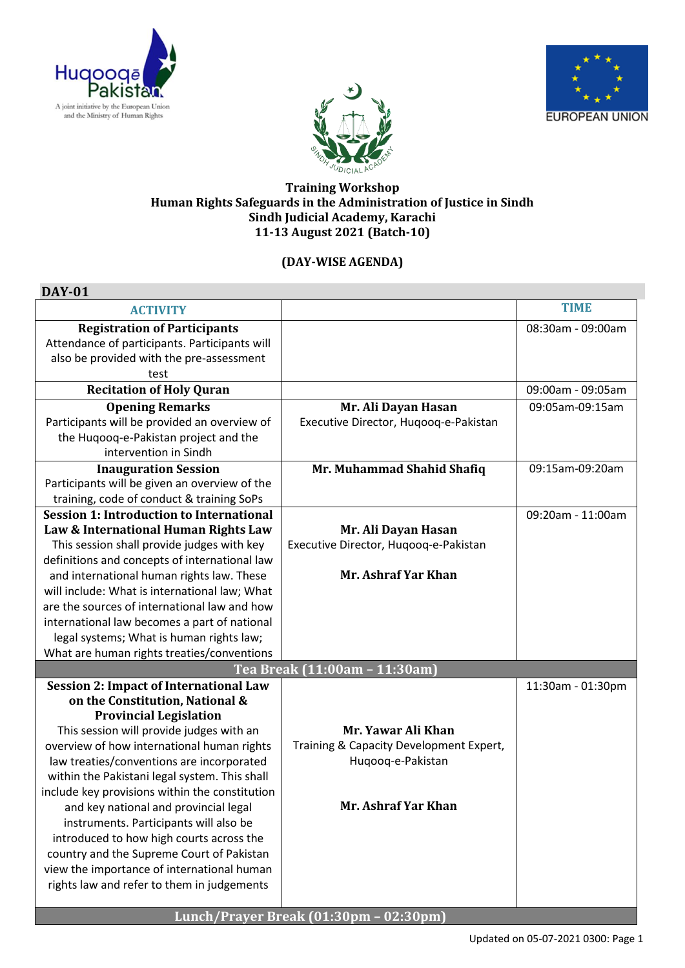

**DAY-01**





## **Training Workshop Human Rights Safeguards in the Administration of Justice in Sindh Sindh Judicial Academy, Karachi 11-13 August 2021 (Batch-10)**

## **(DAY-WISE AGENDA)**

| DAY-01                                          |                                         |                   |
|-------------------------------------------------|-----------------------------------------|-------------------|
| <b>ACTIVITY</b>                                 |                                         | <b>TIME</b>       |
| <b>Registration of Participants</b>             |                                         | 08:30am - 09:00am |
| Attendance of participants. Participants will   |                                         |                   |
| also be provided with the pre-assessment        |                                         |                   |
| test                                            |                                         |                   |
| <b>Recitation of Holy Quran</b>                 |                                         | 09:00am - 09:05am |
| <b>Opening Remarks</b>                          | Mr. Ali Dayan Hasan                     | 09:05am-09:15am   |
| Participants will be provided an overview of    | Executive Director, Hugoog-e-Pakistan   |                   |
| the Huqooq-e-Pakistan project and the           |                                         |                   |
| intervention in Sindh                           |                                         |                   |
| <b>Inauguration Session</b>                     | Mr. Muhammad Shahid Shafiq              | 09:15am-09:20am   |
| Participants will be given an overview of the   |                                         |                   |
| training, code of conduct & training SoPs       |                                         |                   |
| <b>Session 1: Introduction to International</b> |                                         | 09:20am - 11:00am |
| Law & International Human Rights Law            | Mr. Ali Dayan Hasan                     |                   |
| This session shall provide judges with key      | Executive Director, Huqooq-e-Pakistan   |                   |
| definitions and concepts of international law   |                                         |                   |
| and international human rights law. These       | Mr. Ashraf Yar Khan                     |                   |
| will include: What is international law; What   |                                         |                   |
| are the sources of international law and how    |                                         |                   |
| international law becomes a part of national    |                                         |                   |
| legal systems; What is human rights law;        |                                         |                   |
| What are human rights treaties/conventions      |                                         |                   |
|                                                 | Tea Break (11:00am - 11:30am)           |                   |
| <b>Session 2: Impact of International Law</b>   |                                         | 11:30am - 01:30pm |
| on the Constitution, National &                 |                                         |                   |
| <b>Provincial Legislation</b>                   |                                         |                   |
| This session will provide judges with an        | Mr. Yawar Ali Khan                      |                   |
| overview of how international human rights      | Training & Capacity Development Expert, |                   |
| law treaties/conventions are incorporated       | Huqooq-e-Pakistan                       |                   |
| within the Pakistani legal system. This shall   |                                         |                   |
| include key provisions within the constitution  | Mr. Ashraf Yar Khan                     |                   |
| and key national and provincial legal           |                                         |                   |
| instruments. Participants will also be          |                                         |                   |
| introduced to how high courts across the        |                                         |                   |
| country and the Supreme Court of Pakistan       |                                         |                   |
| view the importance of international human      |                                         |                   |
| rights law and refer to them in judgements      |                                         |                   |
|                                                 | Lunch/Prayer Break (01:30pm - 02:30pm)  |                   |
|                                                 |                                         |                   |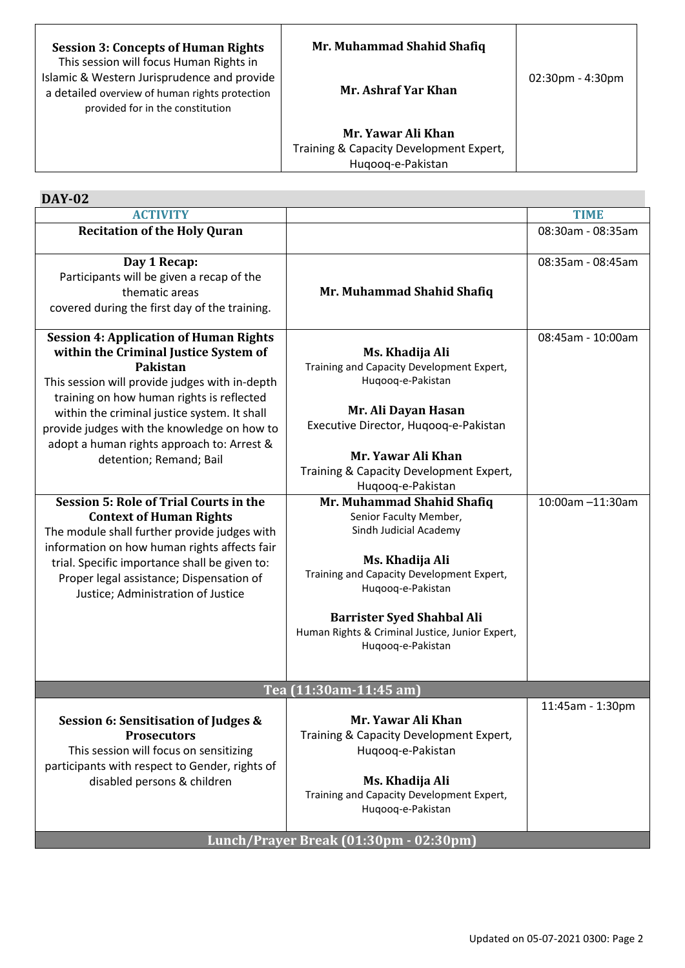| <b>Session 3: Concepts of Human Rights</b><br>This session will focus Human Rights in                                             | Mr. Muhammad Shahid Shafiq                                                         |                                    |
|-----------------------------------------------------------------------------------------------------------------------------------|------------------------------------------------------------------------------------|------------------------------------|
| Islamic & Western Jurisprudence and provide<br>a detailed overview of human rights protection<br>provided for in the constitution | Mr. Ashraf Yar Khan                                                                | $02:30 \text{pm} - 4:30 \text{pm}$ |
|                                                                                                                                   | Mr. Yawar Ali Khan<br>Training & Capacity Development Expert,<br>Hugoog-e-Pakistan |                                    |

T

| <b>DAY-02</b> |  |
|---------------|--|
|               |  |

 $\mathsf{r}$ 

| <b>ACTIVITY</b>                                                                                                                                                                                                                                                                                                                                                           |                                                                                                                                                                                                                                                                                  | <b>TIME</b>       |
|---------------------------------------------------------------------------------------------------------------------------------------------------------------------------------------------------------------------------------------------------------------------------------------------------------------------------------------------------------------------------|----------------------------------------------------------------------------------------------------------------------------------------------------------------------------------------------------------------------------------------------------------------------------------|-------------------|
| <b>Recitation of the Holy Quran</b>                                                                                                                                                                                                                                                                                                                                       |                                                                                                                                                                                                                                                                                  | 08:30am - 08:35am |
| Day 1 Recap:<br>Participants will be given a recap of the<br>thematic areas<br>covered during the first day of the training.                                                                                                                                                                                                                                              | Mr. Muhammad Shahid Shafiq                                                                                                                                                                                                                                                       | 08:35am - 08:45am |
| <b>Session 4: Application of Human Rights</b><br>within the Criminal Justice System of<br>Pakistan<br>This session will provide judges with in-depth<br>training on how human rights is reflected<br>within the criminal justice system. It shall<br>provide judges with the knowledge on how to<br>adopt a human rights approach to: Arrest &<br>detention; Remand; Bail | Ms. Khadija Ali<br>Training and Capacity Development Expert,<br>Huqooq-e-Pakistan<br>Mr. Ali Dayan Hasan<br>Executive Director, Huqooq-e-Pakistan<br>Mr. Yawar Ali Khan<br>Training & Capacity Development Expert,<br>Huqooq-e-Pakistan                                          | 08:45am - 10:00am |
| <b>Session 5: Role of Trial Courts in the</b><br><b>Context of Human Rights</b><br>The module shall further provide judges with<br>information on how human rights affects fair<br>trial. Specific importance shall be given to:<br>Proper legal assistance; Dispensation of<br>Justice; Administration of Justice                                                        | Mr. Muhammad Shahid Shafiq<br>Senior Faculty Member,<br>Sindh Judicial Academy<br>Ms. Khadija Ali<br>Training and Capacity Development Expert,<br>Huqooq-e-Pakistan<br><b>Barrister Syed Shahbal Ali</b><br>Human Rights & Criminal Justice, Junior Expert,<br>Huqooq-e-Pakistan | 10:00am -11:30am  |
|                                                                                                                                                                                                                                                                                                                                                                           | Tea (11:30am-11:45 am)                                                                                                                                                                                                                                                           |                   |
| <b>Session 6: Sensitisation of Judges &amp;</b><br><b>Prosecutors</b><br>This session will focus on sensitizing<br>participants with respect to Gender, rights of<br>disabled persons & children                                                                                                                                                                          | Mr. Yawar Ali Khan<br>Training & Capacity Development Expert,<br>Huqooq-e-Pakistan<br>Ms. Khadija Ali<br>Training and Capacity Development Expert,<br>Huqooq-e-Pakistan                                                                                                          | 11:45am - 1:30pm  |
|                                                                                                                                                                                                                                                                                                                                                                           | Lunch/Prayer Break (01:30pm - 02:30pm)                                                                                                                                                                                                                                           |                   |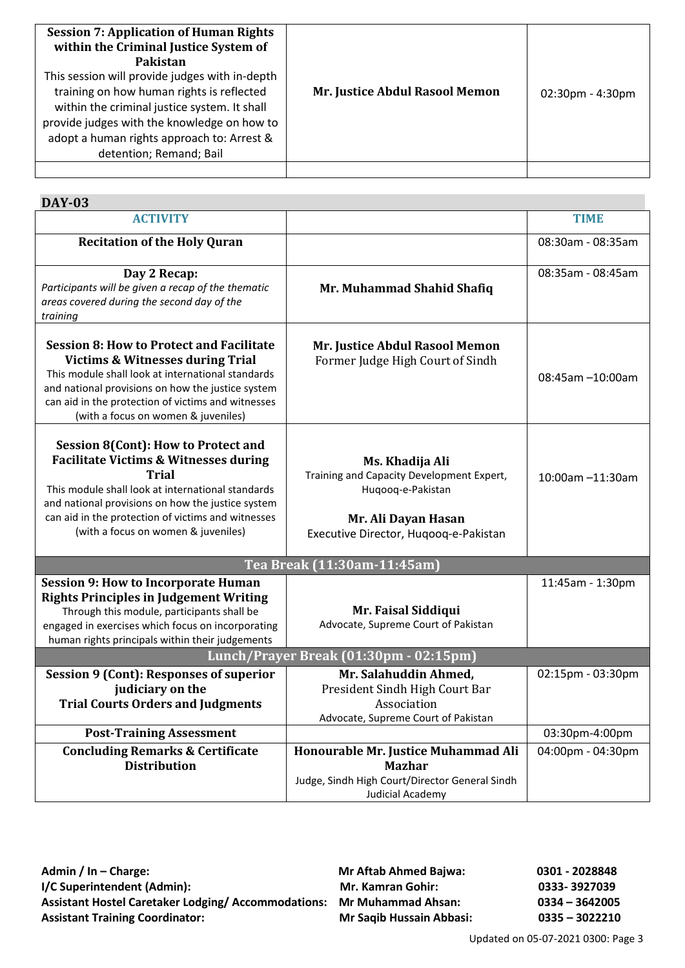| <b>Session 7: Application of Human Rights</b><br>within the Criminal Justice System of<br>Pakistan<br>This session will provide judges with in-depth<br>training on how human rights is reflected<br>within the criminal justice system. It shall<br>provide judges with the knowledge on how to<br>adopt a human rights approach to: Arrest &<br>detention; Remand; Bail | Mr. Justice Abdul Rasool Memon | $02:30$ pm - 4:30pm |
|---------------------------------------------------------------------------------------------------------------------------------------------------------------------------------------------------------------------------------------------------------------------------------------------------------------------------------------------------------------------------|--------------------------------|---------------------|
|                                                                                                                                                                                                                                                                                                                                                                           |                                |                     |

| <b>DAY-03</b>                                                                                                                                                                                                                                                                                                  |                                                                                                                                                   |                   |
|----------------------------------------------------------------------------------------------------------------------------------------------------------------------------------------------------------------------------------------------------------------------------------------------------------------|---------------------------------------------------------------------------------------------------------------------------------------------------|-------------------|
| <b>ACTIVITY</b>                                                                                                                                                                                                                                                                                                |                                                                                                                                                   | <b>TIME</b>       |
| <b>Recitation of the Holy Quran</b>                                                                                                                                                                                                                                                                            |                                                                                                                                                   | 08:30am - 08:35am |
| Day 2 Recap:<br>Participants will be given a recap of the thematic<br>areas covered during the second day of the<br>training                                                                                                                                                                                   | Mr. Muhammad Shahid Shafiq                                                                                                                        | 08:35am - 08:45am |
| <b>Session 8: How to Protect and Facilitate</b><br><b>Victims &amp; Witnesses during Trial</b><br>This module shall look at international standards<br>and national provisions on how the justice system<br>can aid in the protection of victims and witnesses<br>(with a focus on women & juveniles)          | Mr. Justice Abdul Rasool Memon<br>Former Judge High Court of Sindh                                                                                | 08:45am -10:00am  |
| Session 8(Cont): How to Protect and<br><b>Facilitate Victims &amp; Witnesses during</b><br><b>Trial</b><br>This module shall look at international standards<br>and national provisions on how the justice system<br>can aid in the protection of victims and witnesses<br>(with a focus on women & juveniles) | Ms. Khadija Ali<br>Training and Capacity Development Expert,<br>Huqooq-e-Pakistan<br>Mr. Ali Dayan Hasan<br>Executive Director, Hugoog-e-Pakistan | 10:00am -11:30am  |
|                                                                                                                                                                                                                                                                                                                | Tea Break (11:30am-11:45am)                                                                                                                       |                   |
| <b>Session 9: How to Incorporate Human</b><br><b>Rights Principles in Judgement Writing</b><br>Through this module, participants shall be<br>engaged in exercises which focus on incorporating<br>human rights principals within their judgements                                                              | Mr. Faisal Siddiqui<br>Advocate, Supreme Court of Pakistan                                                                                        | 11:45am - 1:30pm  |
| Lunch/Prayer Break (01:30pm - 02:15pm)                                                                                                                                                                                                                                                                         |                                                                                                                                                   |                   |
| <b>Session 9 (Cont): Responses of superior</b><br>judiciary on the<br><b>Trial Courts Orders and Judgments</b>                                                                                                                                                                                                 | Mr. Salahuddin Ahmed,<br>President Sindh High Court Bar<br>Association<br>Advocate, Supreme Court of Pakistan                                     | 02:15pm - 03:30pm |
| <b>Post-Training Assessment</b>                                                                                                                                                                                                                                                                                |                                                                                                                                                   | 03:30pm-4:00pm    |
| <b>Concluding Remarks &amp; Certificate</b><br><b>Distribution</b>                                                                                                                                                                                                                                             | Honourable Mr. Justice Muhammad Ali<br><b>Mazhar</b><br>Judge, Sindh High Court/Director General Sindh<br>Judicial Academy                        | 04:00pm - 04:30pm |

Admin / In – Charge: Charge: Charge: Mr Aftab Ahmed Bajwa: 0301 - 2028848 **I/C Superintendent (Admin): Mr. Kamran Gohir: 0333- 3927039 Assistant Hostel Caretaker Lodging/ Accommodations: Mr Muhammad Ahsan: 0334 – 3642005 Assistant Training Coordinator: Mr Saqib Hussain Abbasi: 0335 – 3022210**

Updated on 05-07-2021 0300: Page 3